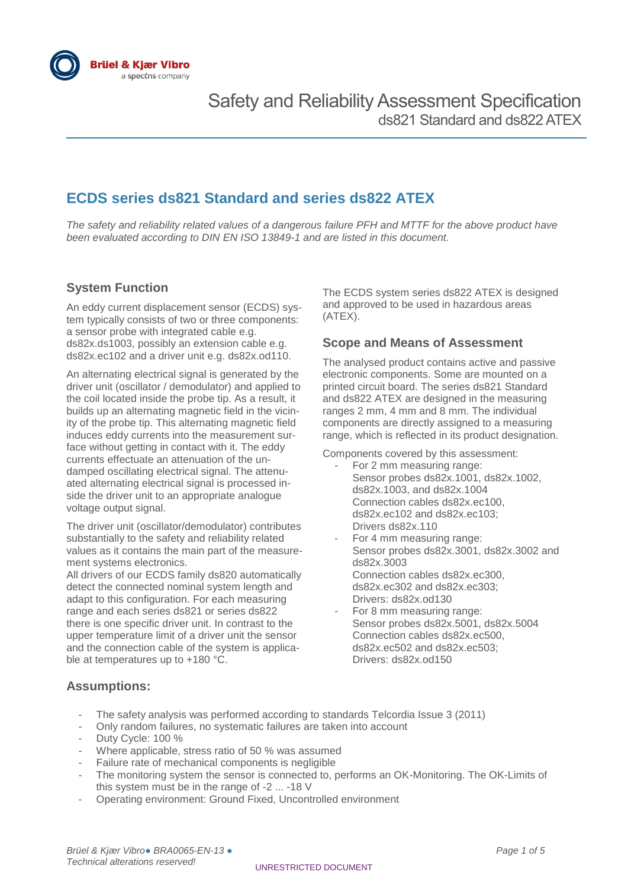

## **ECDS series ds821 Standard and series ds822 ATEX**

*The safety and reliability related values of a dangerous failure PFH and MTTF for the above product have been evaluated according to DIN EN ISO 13849-1 and are listed in this document.*

#### **System Function**

An eddy current displacement sensor (ECDS) system typically consists of two or three components: a sensor probe with integrated cable e.g. ds82x.ds1003, possibly an extension cable e.g. ds82x.ec102 and a driver unit e.g. ds82x.od110.

An alternating electrical signal is generated by the driver unit (oscillator / demodulator) and applied to the coil located inside the probe tip. As a result, it builds up an alternating magnetic field in the vicinity of the probe tip. This alternating magnetic field induces eddy currents into the measurement surface without getting in contact with it. The eddy currents effectuate an attenuation of the undamped oscillating electrical signal. The attenuated alternating electrical signal is processed inside the driver unit to an appropriate analogue voltage output signal.

The driver unit (oscillator/demodulator) contributes substantially to the safety and reliability related values as it contains the main part of the measurement systems electronics.

All drivers of our ECDS family ds820 automatically detect the connected nominal system length and adapt to this configuration. For each measuring range and each series ds821 or series ds822 there is one specific driver unit. In contrast to the upper temperature limit of a driver unit the sensor and the connection cable of the system is applicable at temperatures up to +180 °C.

The ECDS system series ds822 ATEX is designed and approved to be used in hazardous areas (ATEX).

#### **Scope and Means of Assessment**

The analysed product contains active and passive electronic components. Some are mounted on a printed circuit board. The series ds821 Standard and ds822 ATEX are designed in the measuring ranges 2 mm, 4 mm and 8 mm. The individual components are directly assigned to a measuring range, which is reflected in its product designation.

Components covered by this assessment:

- For 2 mm measuring range: Sensor probes ds82x.1001, ds82x.1002, ds82x.1003, and ds82x.1004 Connection cables ds82x.ec100, ds82x.ec102 and ds82x.ec103; Drivers ds82x.110
- For 4 mm measuring range: Sensor probes ds82x.3001, ds82x.3002 and ds82x.3003 Connection cables ds82x.ec300, ds82x.ec302 and ds82x.ec303; Drivers: ds82x.od130
- For 8 mm measuring range: Sensor probes ds82x.5001, ds82x.5004 Connection cables ds82x.ec500, ds82x.ec502 and ds82x.ec503; Drivers: ds82x.od150

#### **Assumptions:**

- The safety analysis was performed according to standards Telcordia Issue 3 (2011)
- Only random failures, no systematic failures are taken into account
- Duty Cycle: 100 %
- Where applicable, stress ratio of 50 % was assumed
- Failure rate of mechanical components is negligible
- The monitoring system the sensor is connected to, performs an OK-Monitoring. The OK-Limits of this system must be in the range of -2 ... -18 V
- Operating environment: Ground Fixed, Uncontrolled environment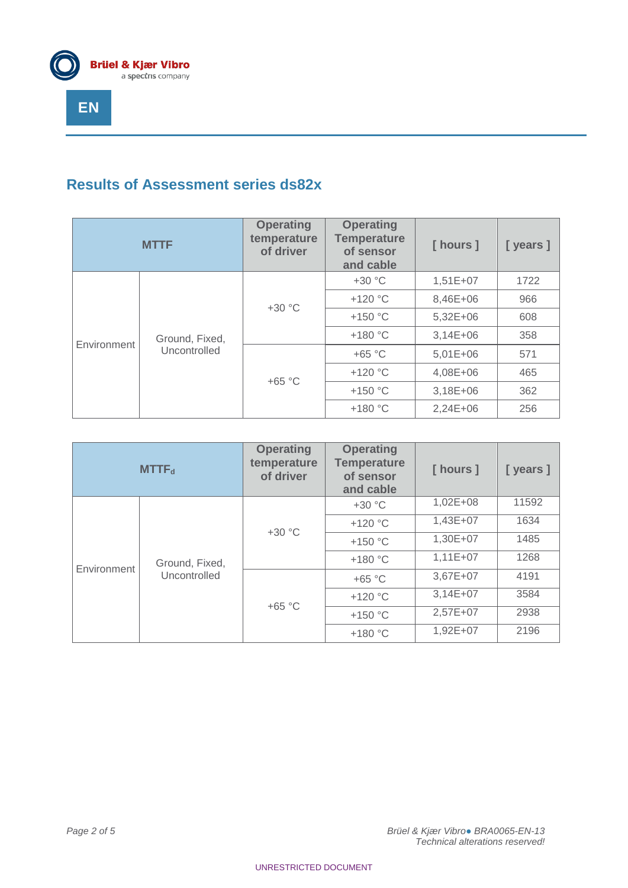

# **Results of Assessment series ds82x**

| <b>MTTF</b> |                | <b>Operating</b><br>temperature<br>of driver | <b>Operating</b><br><b>Temperature</b><br>of sensor<br>and cable | [ hours ]  | [years]  |     |
|-------------|----------------|----------------------------------------------|------------------------------------------------------------------|------------|----------|-----|
| Environment |                | $+30 °C$                                     | $+30 °C$                                                         | $1,51E+07$ | 1722     |     |
|             |                |                                              | $+120$ °C                                                        | 8,46E+06   | 966      |     |
|             |                |                                              | $+150$ °C                                                        | $5,32E+06$ | 608      |     |
|             | Ground, Fixed, |                                              | $+180 °C$                                                        | $3,14E+06$ | 358      |     |
|             | Uncontrolled   |                                              | $+65 °C$                                                         | $5,01E+06$ | 571      |     |
|             |                |                                              | $+120$ °C                                                        | 4,08E+06   | 465      |     |
|             |                |                                              | $+65 °C$                                                         | $+150$ °C  | 3,18E+06 | 362 |
|             |                |                                              | $+180 °C$                                                        | $2,24E+06$ | 256      |     |

| MTTF <sub>d</sub> |                | <b>Operating</b><br>temperature<br>of driver | <b>Operating</b><br><b>Temperature</b><br>of sensor<br>and cable | [ hours ]    | [ years ] |      |
|-------------------|----------------|----------------------------------------------|------------------------------------------------------------------|--------------|-----------|------|
| Environment       |                |                                              | $+30 °C$                                                         | $1,02E + 08$ | 11592     |      |
|                   |                |                                              | $+120$ °C                                                        | $1,43E+07$   | 1634      |      |
|                   |                |                                              | $+30 °C$                                                         | $+150$ °C    | 1,30E+07  | 1485 |
|                   | Ground, Fixed, |                                              | $+180 °C$                                                        | $1,11E+07$   | 1268      |      |
|                   | Uncontrolled   |                                              | $+65 °C$                                                         | 3,67E+07     | 4191      |      |
|                   |                |                                              | $+120$ °C                                                        | $3,14E+07$   | 3584      |      |
|                   |                |                                              | $+65 °C$                                                         | $+150$ °C    | 2,57E+07  | 2938 |
|                   |                |                                              | $+180 °C$                                                        | 1,92E+07     | 2196      |      |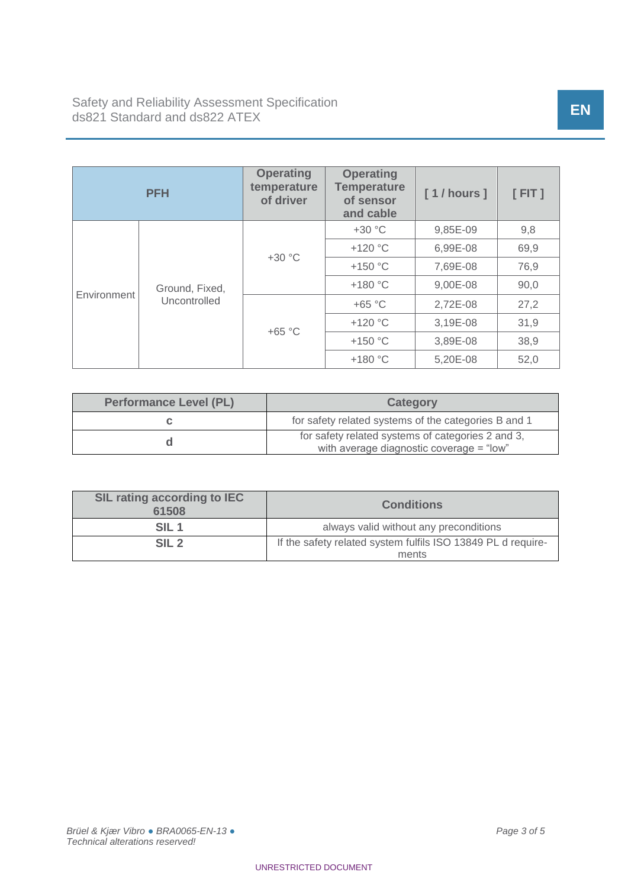| <b>PFH</b>  |                                | <b>Operating</b><br>temperature<br>of driver | <b>Operating</b><br><b>Temperature</b><br>of sensor<br>and cable | [1/hours] | $[$ FIT $]$ |      |
|-------------|--------------------------------|----------------------------------------------|------------------------------------------------------------------|-----------|-------------|------|
| Environment |                                | $+30 °C$                                     | $+30 °C$                                                         | 9,85E-09  | 9,8         |      |
|             | Ground, Fixed,<br>Uncontrolled |                                              | $+120$ °C                                                        | 6,99E-08  | 69,9        |      |
|             |                                |                                              | $+150$ °C                                                        | 7,69E-08  | 76,9        |      |
|             |                                |                                              | $+180 °C$                                                        | 9,00E-08  | 90,0        |      |
|             |                                | $+65 °C$                                     | $+65 °C$                                                         | 2,72E-08  | 27,2        |      |
|             |                                |                                              | $+120$ °C                                                        | 3,19E-08  | 31,9        |      |
|             |                                |                                              |                                                                  | $+150$ °C | 3,89E-08    | 38,9 |
|             |                                |                                              | $+180$ °C                                                        | 5,20E-08  | 52,0        |      |

| <b>Performance Level (PL)</b> | <b>Category</b>                                                                               |  |  |
|-------------------------------|-----------------------------------------------------------------------------------------------|--|--|
|                               | for safety related systems of the categories B and 1                                          |  |  |
|                               | for safety related systems of categories 2 and 3,<br>with average diagnostic coverage = "low" |  |  |

| <b>SIL rating according to IEC</b><br>61508 | <b>Conditions</b>                                            |  |
|---------------------------------------------|--------------------------------------------------------------|--|
| SIL 1                                       | always valid without any preconditions                       |  |
| SIL <sub>2</sub>                            | If the safety related system fulfils ISO 13849 PL d require- |  |
|                                             | ments                                                        |  |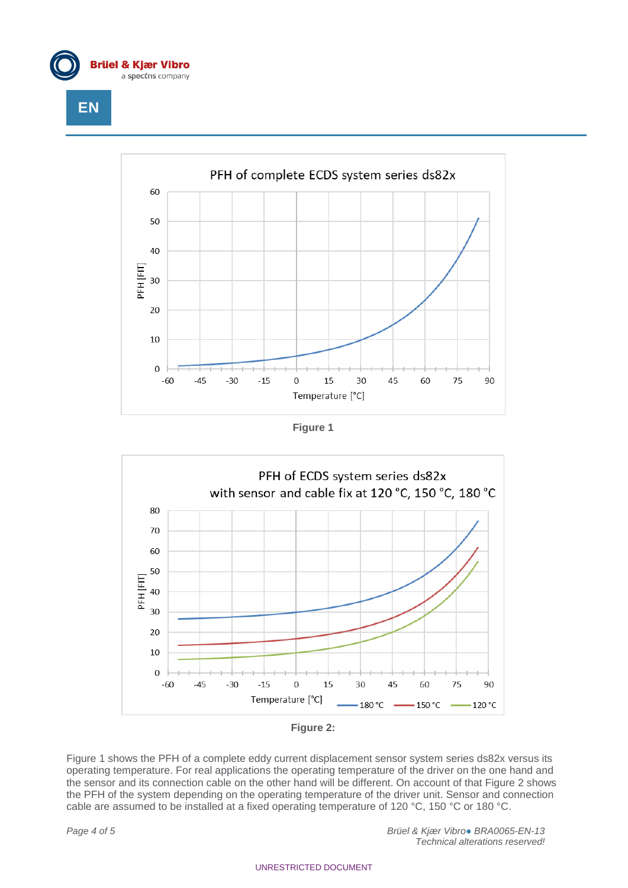









Figure 1 shows the PFH of a complete eddy current displacement sensor system series ds82x versus its operating temperature. For real applications the operating temperature of the driver on the one hand and the sensor and its connection cable on the other hand will be different. On account of that Figure 2 shows the PFH of the system depending on the operating temperature of the driver unit. Sensor and connection cable are assumed to be installed at a fixed operating temperature of 120 °C, 150 °C or 180 °C.